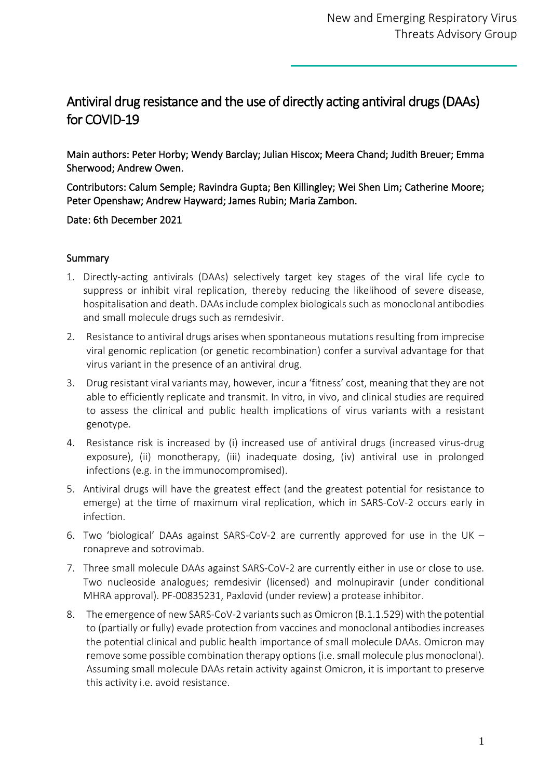# Antiviral drug resistance and the use of directly acting antiviral drugs (DAAs) for COVID-19

Main authors: Peter Horby; Wendy Barclay; Julian Hiscox; Meera Chand; Judith Breuer; Emma Sherwood; Andrew Owen.

Contributors: Calum Semple; Ravindra Gupta; Ben Killingley; Wei Shen Lim; Catherine Moore; Peter Openshaw; Andrew Hayward; James Rubin; Maria Zambon.

Date: 6th December 2021

## **Summary**

- 1. Directly-acting antivirals (DAAs) selectively target key stages of the viral life cycle to suppress or inhibit viral replication, thereby reducing the likelihood of severe disease, hospitalisation and death. DAAs include complex biologicals such as monoclonal antibodies and small molecule drugs such as remdesivir.
- 2. Resistance to antiviral drugs arises when spontaneous mutations resulting from imprecise viral genomic replication (or genetic recombination) confer a survival advantage for that virus variant in the presence of an antiviral drug.
- 3. Drug resistant viral variants may, however, incur a 'fitness' cost, meaning that they are not able to efficiently replicate and transmit. In vitro, in vivo, and clinical studies are required to assess the clinical and public health implications of virus variants with a resistant genotype.
- 4. Resistance risk is increased by (i) increased use of antiviral drugs (increased virus-drug exposure), (ii) monotherapy, (iii) inadequate dosing, (iv) antiviral use in prolonged infections (e.g. in the immunocompromised).
- 5. Antiviral drugs will have the greatest effect (and the greatest potential for resistance to emerge) at the time of maximum viral replication, which in SARS-CoV-2 occurs early in infection.
- 6. Two 'biological' DAAs against SARS-CoV-2 are currently approved for use in the UK ronapreve and sotrovimab.
- 7. Three small molecule DAAs against SARS-CoV-2 are currently either in use or close to use. Two nucleoside analogues; remdesivir (licensed) and molnupiravir (under conditional MHRA approval). PF-00835231, Paxlovid (under review) a protease inhibitor.
- 8. The emergence of new SARS-CoV-2 variants such as Omicron (B.1.1.529) with the potential to (partially or fully) evade protection from vaccines and monoclonal antibodies increases the potential clinical and public health importance of small molecule DAAs. Omicron may remove some possible combination therapy options (i.e. small molecule plus monoclonal). Assuming small molecule DAAs retain activity against Omicron, it is important to preserve this activity i.e. avoid resistance.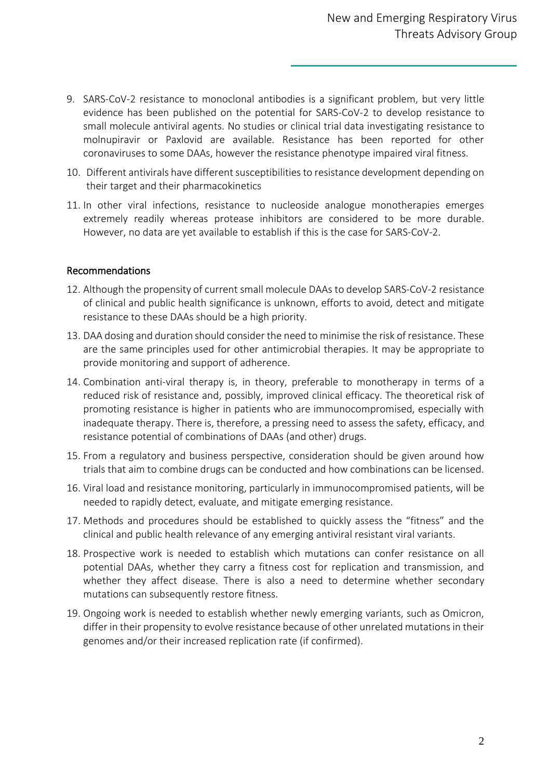- 9. SARS-CoV-2 resistance to monoclonal antibodies is a significant problem, but very little evidence has been published on the potential for SARS-CoV-2 to develop resistance to small molecule antiviral agents. No studies or clinical trial data investigating resistance to molnupiravir or Paxlovid are available. Resistance has been reported for other coronaviruses to some DAAs, however the resistance phenotype impaired viral fitness.
- 10. Different antivirals have different susceptibilities to resistance development depending on their target and their pharmacokinetics
- 11. In other viral infections, resistance to nucleoside analogue monotherapies emerges extremely readily whereas protease inhibitors are considered to be more durable. However, no data are yet available to establish if this is the case for SARS-CoV-2.

#### Recommendations

- 12. Although the propensity of current small molecule DAAs to develop SARS-CoV-2 resistance of clinical and public health significance is unknown, efforts to avoid, detect and mitigate resistance to these DAAs should be a high priority.
- 13. DAA dosing and duration should consider the need to minimise the risk of resistance. These are the same principles used for other antimicrobial therapies. It may be appropriate to provide monitoring and support of adherence.
- 14. Combination anti-viral therapy is, in theory, preferable to monotherapy in terms of a reduced risk of resistance and, possibly, improved clinical efficacy. The theoretical risk of promoting resistance is higher in patients who are immunocompromised, especially with inadequate therapy. There is, therefore, a pressing need to assess the safety, efficacy, and resistance potential of combinations of DAAs (and other) drugs.
- 15. From a regulatory and business perspective, consideration should be given around how trials that aim to combine drugs can be conducted and how combinations can be licensed.
- 16. Viral load and resistance monitoring, particularly in immunocompromised patients, will be needed to rapidly detect, evaluate, and mitigate emerging resistance.
- 17. Methods and procedures should be established to quickly assess the "fitness" and the clinical and public health relevance of any emerging antiviral resistant viral variants.
- 18. Prospective work is needed to establish which mutations can confer resistance on all potential DAAs, whether they carry a fitness cost for replication and transmission, and whether they affect disease. There is also a need to determine whether secondary mutations can subsequently restore fitness.
- 19. Ongoing work is needed to establish whether newly emerging variants, such as Omicron, differ in their propensity to evolve resistance because of other unrelated mutations in their genomes and/or their increased replication rate (if confirmed).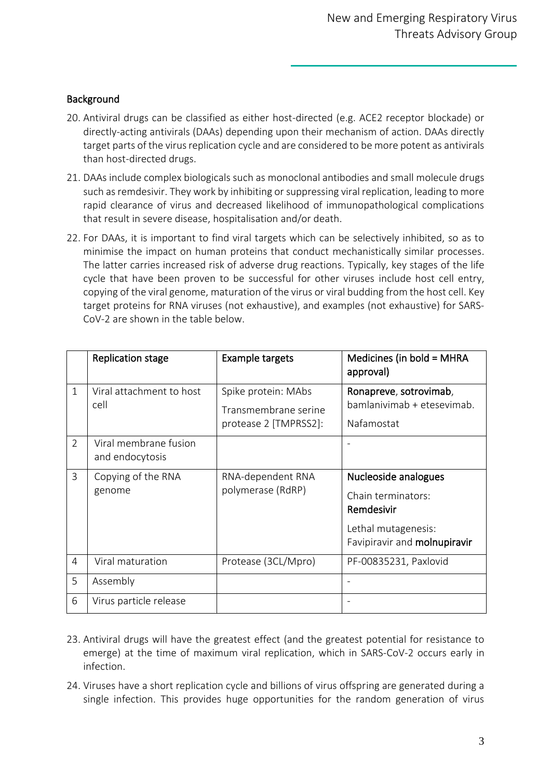#### **Background**

- 20. Antiviral drugs can be classified as either host-directed (e.g. ACE2 receptor blockade) or directly-acting antivirals (DAAs) depending upon their mechanism of action. DAAs directly target parts of the virus replication cycle and are considered to be more potent as antivirals than host-directed drugs.
- 21. DAAs include complex biologicals such as monoclonal antibodies and small molecule drugs such as remdesivir. They work by inhibiting or suppressing viral replication, leading to more rapid clearance of virus and decreased likelihood of immunopathological complications that result in severe disease, hospitalisation and/or death.
- 22. For DAAs, it is important to find viral targets which can be selectively inhibited, so as to minimise the impact on human proteins that conduct mechanistically similar processes. The latter carries increased risk of adverse drug reactions. Typically, key stages of the life cycle that have been proven to be successful for other viruses include host cell entry, copying of the viral genome, maturation of the virus or viral budding from the host cell. Key target proteins for RNA viruses (not exhaustive), and examples (not exhaustive) for SARS-CoV-2 are shown in the table below.

|                | <b>Replication stage</b>                 | <b>Example targets</b>                                               | Medicines (in bold = MHRA<br>approval)                                                                          |
|----------------|------------------------------------------|----------------------------------------------------------------------|-----------------------------------------------------------------------------------------------------------------|
| $\mathbf{1}$   | Viral attachment to host<br>cell         | Spike protein: MAbs<br>Transmembrane serine<br>protease 2 [TMPRSS2]: | Ronapreve, sotrovimab,<br>bamlanivimab + etesevimab.<br>Nafamostat                                              |
| 2              | Viral membrane fusion<br>and endocytosis |                                                                      |                                                                                                                 |
| 3              | Copying of the RNA<br>genome             | RNA-dependent RNA<br>polymerase (RdRP)                               | Nucleoside analogues<br>Chain terminators:<br>Remdesivir<br>Lethal mutagenesis:<br>Favipiravir and molnupiravir |
| $\overline{4}$ | Viral maturation                         | Protease (3CL/Mpro)                                                  | PF-00835231, Paxlovid                                                                                           |
| 5              | Assembly                                 |                                                                      |                                                                                                                 |
| 6              | Virus particle release                   |                                                                      |                                                                                                                 |

- 23. Antiviral drugs will have the greatest effect (and the greatest potential for resistance to emerge) at the time of maximum viral replication, which in SARS-CoV-2 occurs early in infection.
- 24. Viruses have a short replication cycle and billions of virus offspring are generated during a single infection. This provides huge opportunities for the random generation of virus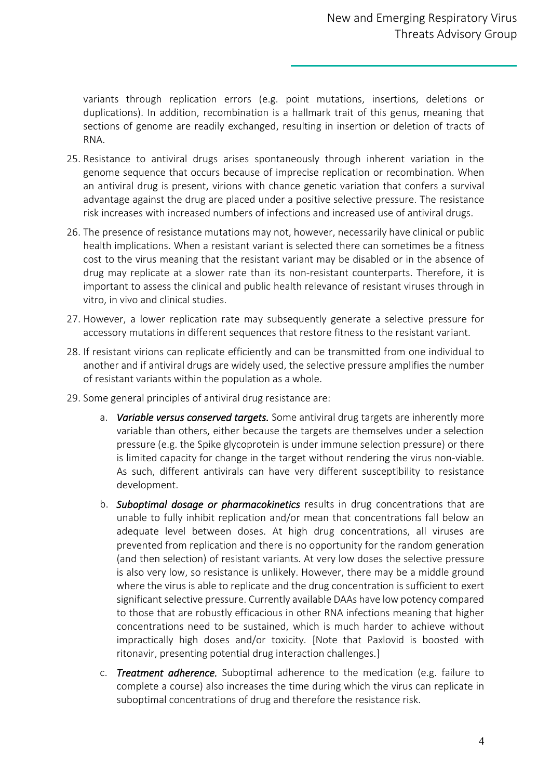variants through replication errors (e.g. point mutations, insertions, deletions or duplications). In addition, recombination is a hallmark trait of this genus, meaning that sections of genome are readily exchanged, resulting in insertion or deletion of tracts of RNA.

- 25. Resistance to antiviral drugs arises spontaneously through inherent variation in the genome sequence that occurs because of imprecise replication or recombination. When an antiviral drug is present, virions with chance genetic variation that confers a survival advantage against the drug are placed under a positive selective pressure. The resistance risk increases with increased numbers of infections and increased use of antiviral drugs.
- 26. The presence of resistance mutations may not, however, necessarily have clinical or public health implications. When a resistant variant is selected there can sometimes be a fitness cost to the virus meaning that the resistant variant may be disabled or in the absence of drug may replicate at a slower rate than its non-resistant counterparts. Therefore, it is important to assess the clinical and public health relevance of resistant viruses through in vitro, in vivo and clinical studies.
- 27. However, a lower replication rate may subsequently generate a selective pressure for accessory mutations in different sequences that restore fitness to the resistant variant.
- 28. If resistant virions can replicate efficiently and can be transmitted from one individual to another and if antiviral drugs are widely used, the selective pressure amplifies the number of resistant variants within the population as a whole.
- 29. Some general principles of antiviral drug resistance are:
	- a. *Variable versus conserved targets.* Some antiviral drug targets are inherently more variable than others, either because the targets are themselves under a selection pressure (e.g. the Spike glycoprotein is under immune selection pressure) or there is limited capacity for change in the target without rendering the virus non-viable. As such, different antivirals can have very different susceptibility to resistance development.
	- b. *Suboptimal dosage or pharmacokinetics* results in drug concentrations that are unable to fully inhibit replication and/or mean that concentrations fall below an adequate level between doses. At high drug concentrations, all viruses are prevented from replication and there is no opportunity for the random generation (and then selection) of resistant variants. At very low doses the selective pressure is also very low, so resistance is unlikely. However, there may be a middle ground where the virus is able to replicate and the drug concentration is sufficient to exert significant selective pressure. Currently available DAAs have low potency compared to those that are robustly efficacious in other RNA infections meaning that higher concentrations need to be sustained, which is much harder to achieve without impractically high doses and/or toxicity. [Note that Paxlovid is boosted with ritonavir, presenting potential drug interaction challenges.]
	- c. *Treatment adherence.* Suboptimal adherence to the medication (e.g. failure to complete a course) also increases the time during which the virus can replicate in suboptimal concentrations of drug and therefore the resistance risk.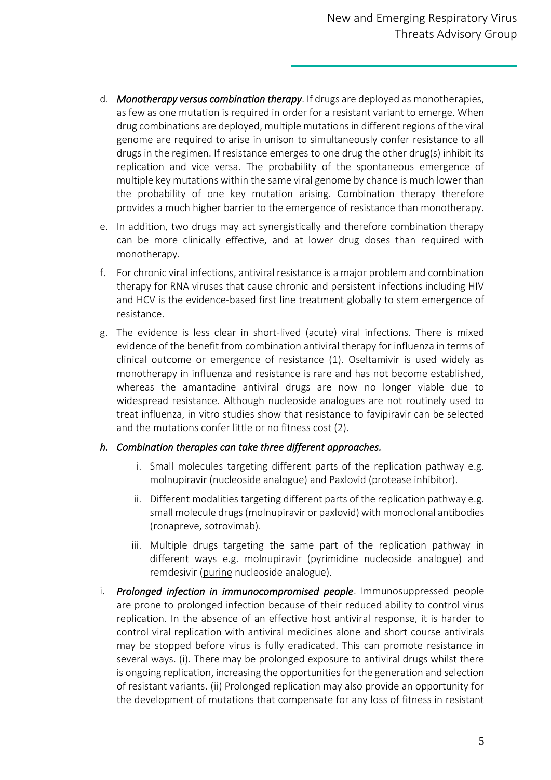- d. *Monotherapy versus combination therapy*. If drugs are deployed as monotherapies, as few as one mutation is required in order for a resistant variant to emerge. When drug combinations are deployed, multiple mutations in different regions of the viral genome are required to arise in unison to simultaneously confer resistance to all drugs in the regimen. If resistance emerges to one drug the other drug(s) inhibit its replication and vice versa. The probability of the spontaneous emergence of multiple key mutations within the same viral genome by chance is much lower than the probability of one key mutation arising. Combination therapy therefore provides a much higher barrier to the emergence of resistance than monotherapy.
- e. In addition, two drugs may act synergistically and therefore combination therapy can be more clinically effective, and at lower drug doses than required with monotherapy.
- f. For chronic viral infections, antiviral resistance is a major problem and combination therapy for RNA viruses that cause chronic and persistent infections including HIV and HCV is the evidence-based first line treatment globally to stem emergence of resistance.
- g. The evidence is less clear in short-lived (acute) viral infections. There is mixed evidence of the benefit from combination antiviral therapy for influenza in terms of clinical outcome or emergence of resistance (1). Oseltamivir is used widely as monotherapy in influenza and resistance is rare and has not become established, whereas the amantadine antiviral drugs are now no longer viable due to widespread resistance. Although nucleoside analogues are not routinely used to treat influenza, in vitro studies show that resistance to favipiravir can be selected and the mutations confer little or no fitness cost (2).

## *h. Combination therapies can take three different approaches.*

- i. Small molecules targeting different parts of the replication pathway e.g. molnupiravir (nucleoside analogue) and Paxlovid (protease inhibitor).
- ii. Different modalities targeting different parts of the replication pathway e.g. small molecule drugs (molnupiravir or paxlovid) with monoclonal antibodies (ronapreve, sotrovimab).
- iii. Multiple drugs targeting the same part of the replication pathway in different ways e.g. molnupiravir (pyrimidine nucleoside analogue) and remdesivir (purine nucleoside analogue).
- i. *Prolonged infection in immunocompromised people*. Immunosuppressed people are prone to prolonged infection because of their reduced ability to control virus replication. In the absence of an effective host antiviral response, it is harder to control viral replication with antiviral medicines alone and short course antivirals may be stopped before virus is fully eradicated. This can promote resistance in several ways. (i). There may be prolonged exposure to antiviral drugs whilst there is ongoing replication, increasing the opportunities for the generation and selection of resistant variants. (ii) Prolonged replication may also provide an opportunity for the development of mutations that compensate for any loss of fitness in resistant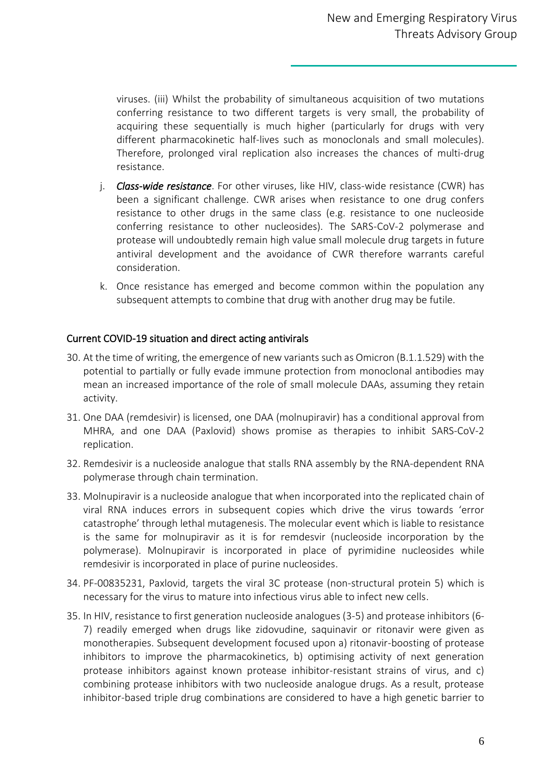viruses. (iii) Whilst the probability of simultaneous acquisition of two mutations conferring resistance to two different targets is very small, the probability of acquiring these sequentially is much higher (particularly for drugs with very different pharmacokinetic half-lives such as monoclonals and small molecules). Therefore, prolonged viral replication also increases the chances of multi-drug resistance.

- j. *Class-wide resistance*. For other viruses, like HIV, class-wide resistance (CWR) has been a significant challenge. CWR arises when resistance to one drug confers resistance to other drugs in the same class (e.g. resistance to one nucleoside conferring resistance to other nucleosides). The SARS-CoV-2 polymerase and protease will undoubtedly remain high value small molecule drug targets in future antiviral development and the avoidance of CWR therefore warrants careful consideration.
- k. Once resistance has emerged and become common within the population any subsequent attempts to combine that drug with another drug may be futile.

## Current COVID-19 situation and direct acting antivirals

- 30. At the time of writing, the emergence of new variants such as Omicron (B.1.1.529) with the potential to partially or fully evade immune protection from monoclonal antibodies may mean an increased importance of the role of small molecule DAAs, assuming they retain activity.
- 31. One DAA (remdesivir) is licensed, one DAA (molnupiravir) has a conditional approval from MHRA, and one DAA (Paxlovid) shows promise as therapies to inhibit SARS-CoV-2 replication.
- 32. Remdesivir is a nucleoside analogue that stalls RNA assembly by the RNA-dependent RNA polymerase through chain termination.
- 33. Molnupiravir is a nucleoside analogue that when incorporated into the replicated chain of viral RNA induces errors in subsequent copies which drive the virus towards 'error catastrophe' through lethal mutagenesis. The molecular event which is liable to resistance is the same for molnupiravir as it is for remdesvir (nucleoside incorporation by the polymerase). Molnupiravir is incorporated in place of pyrimidine nucleosides while remdesivir is incorporated in place of purine nucleosides.
- 34. PF-00835231, Paxlovid, targets the viral 3C protease (non-structural protein 5) which is necessary for the virus to mature into infectious virus able to infect new cells.
- 35. In HIV, resistance to first generation nucleoside analogues (3-5) and protease inhibitors (6- 7) readily emerged when drugs like zidovudine, saquinavir or ritonavir were given as monotherapies. Subsequent development focused upon a) ritonavir-boosting of protease inhibitors to improve the pharmacokinetics, b) optimising activity of next generation protease inhibitors against known protease inhibitor-resistant strains of virus, and c) combining protease inhibitors with two nucleoside analogue drugs. As a result, protease inhibitor-based triple drug combinations are considered to have a high genetic barrier to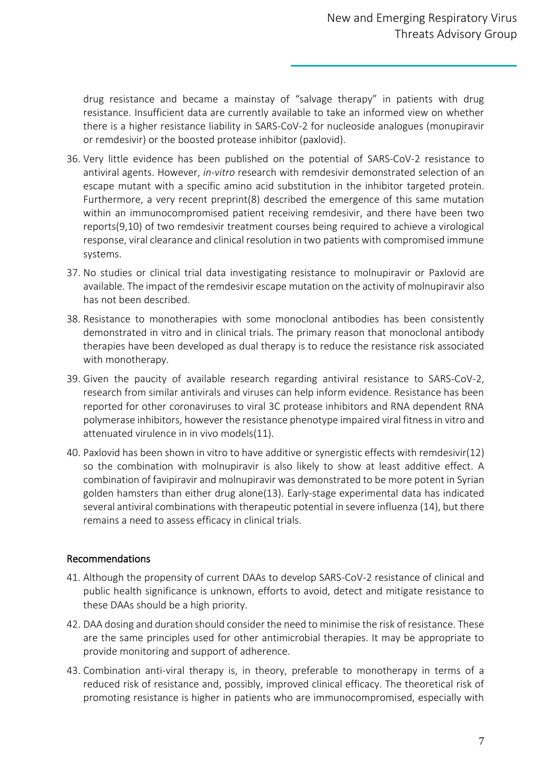drug resistance and became a mainstay of "salvage therapy" in patients with drug resistance. Insufficient data are currently available to take an informed view on whether there is a higher resistance liability in SARS-CoV-2 for nucleoside analogues (monupiravir or remdesivir) or the boosted protease inhibitor (paxlovid).

- 36. Very little evidence has been published on the potential of SARS-CoV-2 resistance to antiviral agents. However, *in-vitro* research with remdesivir demonstrated selection of an escape mutant with a specific amino acid substitution in the inhibitor targeted protein. Furthermore, a very recent preprint(8) described the emergence of this same mutation within an immunocompromised patient receiving remdesivir, and there have been two reports(9,10) of two remdesivir treatment courses being required to achieve a virological response, viral clearance and clinical resolution in two patients with compromised immune systems.
- 37. No studies or clinical trial data investigating resistance to molnupiravir or Paxlovid are available. The impact of the remdesivir escape mutation on the activity of molnupiravir also has not been described.
- 38. Resistance to monotherapies with some monoclonal antibodies has been consistently demonstrated in vitro and in clinical trials. The primary reason that monoclonal antibody therapies have been developed as dual therapy is to reduce the resistance risk associated with monotherapy.
- 39. Given the paucity of available research regarding antiviral resistance to SARS-CoV-2, research from similar antivirals and viruses can help inform evidence. Resistance has been reported for other coronaviruses to viral 3C protease inhibitors and RNA dependent RNA polymerase inhibitors, however the resistance phenotype impaired viral fitness in vitro and attenuated virulence in in vivo models(11).
- 40. Paxlovid has been shown in vitro to have additive or synergistic effects with remdesivir(12) so the combination with molnupiravir is also likely to show at least additive effect. A combination of favipiravir and molnupiravir was demonstrated to be more potent in Syrian golden hamsters than either drug alone(13). Early-stage experimental data has indicated several antiviral combinations with therapeutic potential in severe influenza (14), but there remains a need to assess efficacy in clinical trials.

## Recommendations

- 41. Although the propensity of current DAAs to develop SARS-CoV-2 resistance of clinical and public health significance is unknown, efforts to avoid, detect and mitigate resistance to these DAAs should be a high priority.
- 42. DAA dosing and duration should consider the need to minimise the risk of resistance. These are the same principles used for other antimicrobial therapies. It may be appropriate to provide monitoring and support of adherence.
- 43. Combination anti-viral therapy is, in theory, preferable to monotherapy in terms of a reduced risk of resistance and, possibly, improved clinical efficacy. The theoretical risk of promoting resistance is higher in patients who are immunocompromised, especially with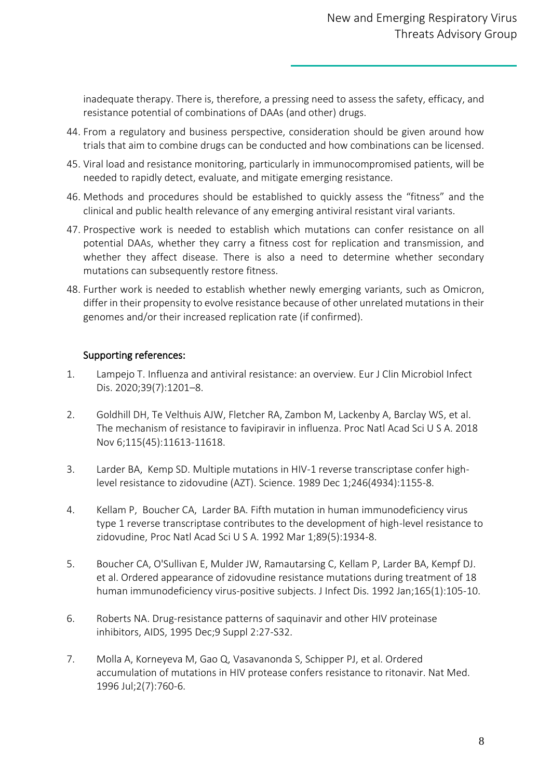inadequate therapy. There is, therefore, a pressing need to assess the safety, efficacy, and resistance potential of combinations of DAAs (and other) drugs.

- 44. From a regulatory and business perspective, consideration should be given around how trials that aim to combine drugs can be conducted and how combinations can be licensed.
- 45. Viral load and resistance monitoring, particularly in immunocompromised patients, will be needed to rapidly detect, evaluate, and mitigate emerging resistance.
- 46. Methods and procedures should be established to quickly assess the "fitness" and the clinical and public health relevance of any emerging antiviral resistant viral variants.
- 47. Prospective work is needed to establish which mutations can confer resistance on all potential DAAs, whether they carry a fitness cost for replication and transmission, and whether they affect disease. There is also a need to determine whether secondary mutations can subsequently restore fitness.
- 48. Further work is needed to establish whether newly emerging variants, such as Omicron, differ in their propensity to evolve resistance because of other unrelated mutations in their genomes and/or their increased replication rate (if confirmed).

## Supporting references:

- 1. Lampejo T. Influenza and antiviral resistance: an overview. Eur J Clin Microbiol Infect Dis. 2020;39(7):1201–8.
- 2. Goldhill DH, Te Velthuis AJW, Fletcher RA, Zambon M, Lackenby A, Barclay WS, et al. The mechanism of resistance to favipiravir in influenza. Proc Natl Acad Sci U S A. 2018 Nov 6;115(45):11613-11618.
- 3. Larder BA, Kemp SD. Multiple mutations in HIV-1 reverse transcriptase confer highlevel resistance to zidovudine (AZT). Science. 1989 Dec 1;246(4934):1155-8.
- 4. Kellam P, Boucher CA, Larder BA. Fifth mutation in human immunodeficiency virus type 1 reverse transcriptase contributes to the development of high-level resistance to zidovudine, Proc Natl Acad Sci U S A. 1992 Mar 1;89(5):1934-8.
- 5. Boucher CA, O'Sullivan E, Mulder JW, Ramautarsing C, Kellam P, Larder BA, Kempf DJ. et al. Ordered appearance of zidovudine resistance mutations during treatment of 18 human immunodeficiency virus-positive subjects. J Infect Dis. 1992 Jan;165(1):105-10.
- 6. Roberts NA. Drug-resistance patterns of saquinavir and other HIV proteinase inhibitors, AIDS, 1995 Dec;9 Suppl 2:27-S32.
- 7. Molla A, Korneyeva M, Gao Q, Vasavanonda S, Schipper PJ, et al. Ordered accumulation of mutations in HIV protease confers resistance to ritonavir. Nat Med. 1996 Jul;2(7):760-6.